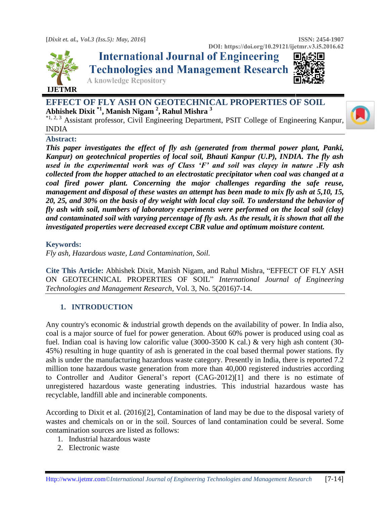

**International Journal of Engineering Technologies and Management Research** 



**A knowledge Repository** 

# **EFFECT OF FLY ASH ON GEOTECHNICAL PROPERTIES OF SOIL Abhishek Dixit \*1, Manish Nigam <sup>2</sup> , Rahul Mishra <sup>3</sup>**

\*1,2, 3 Assistant professor, Civil Engineering Department, PSIT College of Engineering Kanpur, INDIA

### **Abstract:**

*This paper investigates the effect of fly ash (generated from thermal power plant, Panki, Kanpur) on geotechnical properties of local soil, Bhauti Kanpur (U.P), INDIA. The fly ash used in the experimental work was of Class 'F' and soil was clayey in nature .Fly ash collected from the hopper attached to an electrostatic precipitator when coal was changed at a coal fired power plant. Concerning the major challenges regarding the safe reuse, management and disposal of these wastes an attempt has been made to mix fly ash at 5,10, 15, 20, 25, and 30% on the basis of dry weight with local clay soil. To understand the behavior of fly ash with soil, numbers of laboratory experiments were performed on the local soil (clay) and contaminated soil with varying percentage of fly ash. As the result, it is shown that all the investigated properties were decreased except CBR value and optimum moisture content.* 

#### **Keywords:**

*Fly ash, Hazardous waste, Land Contamination, Soil.*

**Cite This Article:** Abhishek Dixit, Manish Nigam, and Rahul Mishra, "EFFECT OF FLY ASH ON GEOTECHNICAL PROPERTIES OF SOIL" *International Journal of Engineering Technologies and Management Research,* Vol. 3, No. 5(2016)7-14.

### **1. INTRODUCTION**

Any country's economic & industrial growth depends on the availability of power. In India also, coal is a major source of fuel for power generation. About 60% power is produced using coal as fuel. Indian coal is having low calorific value (3000-3500 K cal.) & very high ash content (30- 45%) resulting in huge quantity of ash is generated in the coal based thermal power stations. fly ash is under the manufacturing hazardous waste category. Presently in India, there is reported 7.2 million tone hazardous waste generation from more than 40,000 registered industries according to Controller and Auditor General's report (CAG-2012)[1] and there is no estimate of unregistered hazardous waste generating industries. This industrial hazardous waste has recyclable, landfill able and incinerable components.

According to Dixit et al. (2016)[2], Contamination of land may be due to the disposal variety of wastes and chemicals on or in the soil. Sources of land contamination could be several. Some contamination sources are listed as follows:

- 1. Industrial hazardous waste
- 2. Electronic waste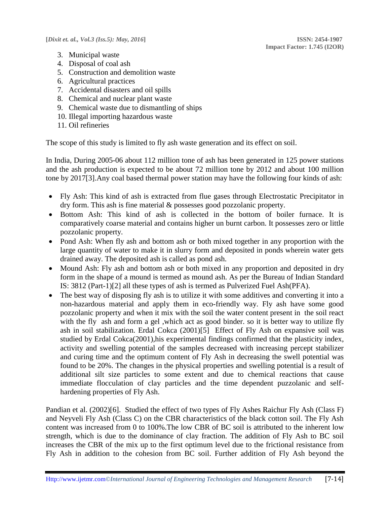- 3. Municipal waste
- 4. Disposal of coal ash
- 5. Construction and demolition waste
- 6. Agricultural practices
- 7. Accidental disasters and oil spills
- 8. Chemical and nuclear plant waste
- 9. Chemical waste due to dismantling of ships
- 10. Illegal importing hazardous waste
- 11. Oil refineries

The scope of this study is limited to fly ash waste generation and its effect on soil.

In India, During 2005-06 about 112 million tone of ash has been generated in 125 power stations and the ash production is expected to be about 72 million tone by 2012 and about 100 million tone by 2017[3].Any coal based thermal power station may have the following four kinds of ash:

- Fly Ash: This kind of ash is extracted from flue gases through Electrostatic Precipitator in dry form. This ash is fine material & possesses good pozzolanic property.
- Bottom Ash: This kind of ash is collected in the bottom of boiler furnace. It is comparatively coarse material and contains higher un burnt carbon. It possesses zero or little pozzolanic property.
- Pond Ash: When fly ash and bottom ash or both mixed together in any proportion with the large quantity of water to make it in slurry form and deposited in ponds wherein water gets drained away. The deposited ash is called as pond ash.
- Mound Ash: Fly ash and bottom ash or both mixed in any proportion and deposited in dry form in the shape of a mound is termed as mound ash. As per the Bureau of Indian Standard IS: 3812 (Part-1)[2] all these types of ash is termed as Pulverized Fuel Ash(PFA).
- The best way of disposing fly ash is to utilize it with some additives and converting it into a non-hazardous material and apply them in eco-friendly way. Fly ash have some good pozzolanic property and when it mix with the soil the water content present in the soil react with the fly ash and form a gel ,which act as good binder. so it is better way to utilize fly ash in soil stabilization. Erdal Cokca (2001)[5] Effect of Fly Ash on expansive soil was studied by Erdal Cokca(2001),his experimental findings confirmed that the plasticity index, activity and swelling potential of the samples decreased with increasing percept stabilizer and curing time and the optimum content of Fly Ash in decreasing the swell potential was found to be 20%. The changes in the physical properties and swelling potential is a result of additional silt size particles to some extent and due to chemical reactions that cause immediate flocculation of clay particles and the time dependent puzzolanic and selfhardening properties of Fly Ash.

Pandian et al. (2002)[6]. Studied the effect of two types of Fly Ashes Raichur Fly Ash (Class F) and Neyveli Fly Ash (Class C) on the CBR characteristics of the black cotton soil. The Fly Ash content was increased from 0 to 100%.The low CBR of BC soil is attributed to the inherent low strength, which is due to the dominance of clay fraction. The addition of Fly Ash to BC soil increases the CBR of the mix up to the first optimum level due to the frictional resistance from Fly Ash in addition to the cohesion from BC soil. Further addition of Fly Ash beyond the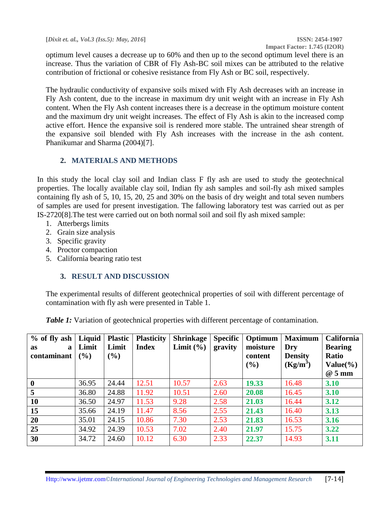**[***Dixit et. al., Vol.3 (Iss.5): May, 2016***] ISSN: 2454-1907**

optimum level causes a decrease up to 60% and then up to the second optimum level there is an increase. Thus the variation of CBR of Fly Ash-BC soil mixes can be attributed to the relative contribution of frictional or cohesive resistance from Fly Ash or BC soil, respectively.

The hydraulic conductivity of expansive soils mixed with Fly Ash decreases with an increase in Fly Ash content, due to the increase in maximum dry unit weight with an increase in Fly Ash content. When the Fly Ash content increases there is a decrease in the optimum moisture content and the maximum dry unit weight increases. The effect of Fly Ash is akin to the increased comp active effort. Hence the expansive soil is rendered more stable. The untrained shear strength of the expansive soil blended with Fly Ash increases with the increase in the ash content. Phanikumar and Sharma (2004)[7].

### **2. MATERIALS AND METHODS**

In this study the local clay soil and Indian class F fly ash are used to study the geotechnical properties. The locally available clay soil, Indian fly ash samples and soil-fly ash mixed samples containing fly ash of 5, 10, 15, 20, 25 and 30% on the basis of dry weight and total seven numbers of samples are used for present investigation. The fallowing laboratory test was carried out as per IS-2720[8].The test were carried out on both normal soil and soil fly ash mixed sample:

- 1. Atterbergs limits
- 2. Grain size analysis
- 3. Specific gravity
- 4. Proctor compaction
- 5. California bearing ratio test

## **3. RESULT AND DISCUSSION**

The experimental results of different geotechnical properties of soil with different percentage of contamination with fly ash were presented in Table 1.

*Table 1:* Variation of geotechnical properties with different percentage of contamination.

| $%$ of fly ash<br>a<br>as<br>contaminant | Liquid<br>Limit<br>$($ %) | <b>Plastic</b><br>Limit<br>(%) | <b>Plasticity</b><br><b>Index</b> | <b>Shrinkage</b><br>Limit $(\% )$ | <b>Specific</b><br>gravity | Optimum<br>moisture<br>content<br>$($ %) | <b>Maximum</b><br>Dry<br><b>Density</b><br>$(Kg/m^3)$ | <b>California</b><br><b>Bearing</b><br><b>Ratio</b><br>Value $\left(\frac{0}{0}\right)$ |
|------------------------------------------|---------------------------|--------------------------------|-----------------------------------|-----------------------------------|----------------------------|------------------------------------------|-------------------------------------------------------|-----------------------------------------------------------------------------------------|
|                                          |                           |                                |                                   |                                   |                            |                                          |                                                       | @5mm                                                                                    |
| $\boldsymbol{0}$                         | 36.95                     | 24.44                          | 12.51                             | 10.57                             | 2.63                       | 19.33                                    | 16.48                                                 | 3.10                                                                                    |
| 5                                        | 36.80                     | 24.88                          | 11.92                             | 10.51                             | 2.60                       | 20.08                                    | 16.45                                                 | 3.10                                                                                    |
| 10                                       | 36.50                     | 24.97                          | 11.53                             | 9.28                              | 2.58                       | 21.03                                    | 16.44                                                 | 3.12                                                                                    |
| 15                                       | 35.66                     | 24.19                          | 11.47                             | 8.56                              | 2.55                       | 21.43                                    | 16.40                                                 | 3.13                                                                                    |
| 20                                       | 35.01                     | 24.15                          | 10.86                             | 7.30                              | 2.53                       | 21.83                                    | 16.53                                                 | 3.16                                                                                    |
| 25                                       | 34.92                     | 24.39                          | 10.53                             | 7.02                              | 2.40                       | 21.97                                    | 15.75                                                 | 3.22                                                                                    |
| 30                                       | 34.72                     | 24.60                          | 10.12                             | 6.30                              | 2.33                       | 22.37                                    | 14.93                                                 | 3.11                                                                                    |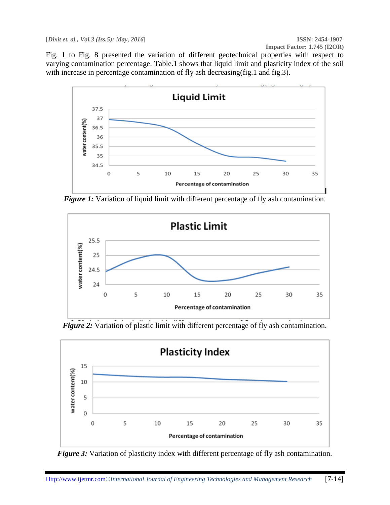Fig. 1 to Fig. 8 presented the variation of different geotechnical properties with respect to varying contamination percentage. Table.1 shows that liquid limit and plasticity index of the soil with increase in percentage contamination of fly ash decreasing(fig.1 and fig.3).



*Figure 1:* Variation of liquid limit with different percentage of fly ash contamination.



*Figure 2:* Variation of plastic limit with different percentage of fly ash contamination.



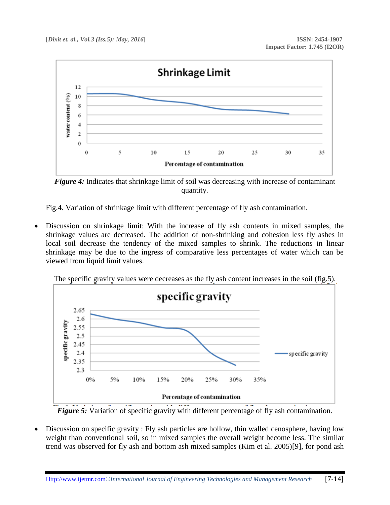

*Figure 4:* Indicates that shrinkage limit of soil was decreasing with increase of contaminant quantity.

Fig.4. Variation of shrinkage limit with different percentage of fly ash contamination.

 Discussion on shrinkage limit: With the increase of fly ash contents in mixed samples, the shrinkage values are decreased. The addition of non-shrinking and cohesion less fly ashes in local soil decrease the tendency of the mixed samples to shrink. The reductions in linear shrinkage may be due to the ingress of comparative less percentages of water which can be viewed from liquid limit values.



The specific gravity values were decreases as the fly ash content increases in the soil (fig.5).

*Figure 5:* Variation of specific gravity with different percentage of fly ash contamination.

 Discussion on specific gravity : Fly ash particles are hollow, thin walled cenosphere, having low weight than conventional soil, so in mixed samples the overall weight become less. The similar trend was observed for fly ash and bottom ash mixed samples (Kim et al. 2005)[9], for pond ash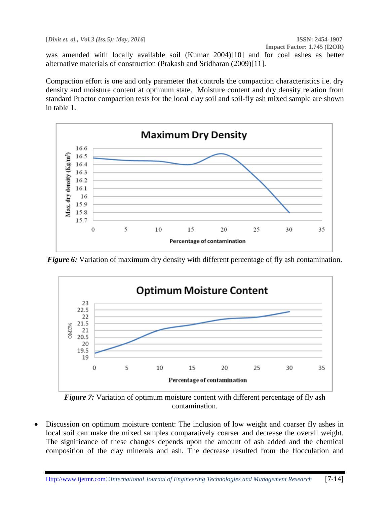was amended with locally available soil (Kumar 2004)[10] and for coal ashes as better alternative materials of construction (Prakash and Sridharan (2009)[11].

Compaction effort is one and only parameter that controls the compaction characteristics i.e. dry density and moisture content at optimum state. Moisture content and dry density relation from standard Proctor compaction tests for the local clay soil and soil-fly ash mixed sample are shown in table 1.



*Figure 6:* Variation of maximum dry density with different percentage of fly ash contamination.



*Figure 7:* Variation of optimum moisture content with different percentage of fly ash contamination.

 Discussion on optimum moisture content: The inclusion of low weight and coarser fly ashes in local soil can make the mixed samples comparatively coarser and decrease the overall weight. The significance of these changes depends upon the amount of ash added and the chemical composition of the clay minerals and ash. The decrease resulted from the flocculation and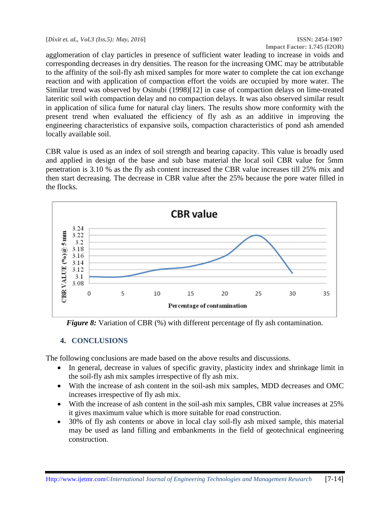agglomeration of clay particles in presence of sufficient water leading to increase in voids and corresponding decreases in dry densities. The reason for the increasing OMC may be attributable to the affinity of the soil-fly ash mixed samples for more water to complete the cat ion exchange reaction and with application of compaction effort the voids are occupied by more water. The Similar trend was observed by Osinubi (1998)[12] in case of compaction delays on lime-treated lateritic soil with compaction delay and no compaction delays. It was also observed similar result in application of silica fume for natural clay liners. The results show more conformity with the present trend when evaluated the efficiency of fly ash as an additive in improving the engineering characteristics of expansive soils, compaction characteristics of pond ash amended locally available soil.

CBR value is used as an index of soil strength and bearing capacity. This value is broadly used and applied in design of the base and sub base material the local soil CBR value for 5mm penetration is 3.10 % as the fly ash content increased the CBR value increases till 25% mix and then start decreasing. The decrease in CBR value after the 25% because the pore water filled in the flocks.



*Figure 8:* Variation of CBR (%) with different percentage of fly ash contamination.

### **4. CONCLUSIONS**

The following conclusions are made based on the above results and discussions.

- In general, decrease in values of specific gravity, plasticity index and shrinkage limit in the soil-fly ash mix samples irrespective of fly ash mix.
- With the increase of ash content in the soil-ash mix samples, MDD decreases and OMC increases irrespective of fly ash mix.
- With the increase of ash content in the soil-ash mix samples, CBR value increases at 25% it gives maximum value which is more suitable for road construction.
- 30% of fly ash contents or above in local clay soil-fly ash mixed sample, this material may be used as land filling and embankments in the field of geotechnical engineering construction.